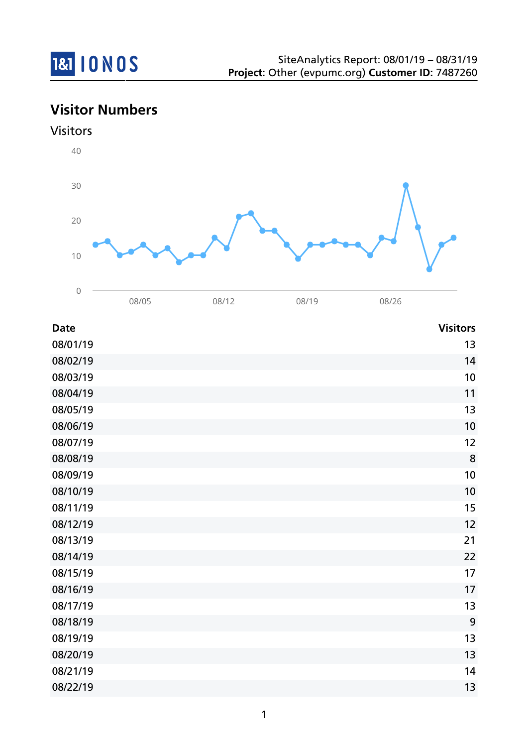

# **Visitor Numbers**



| <b>Date</b> | <b>Visitors</b> |
|-------------|-----------------|
| 08/01/19    | 13              |
| 08/02/19    | 14              |
| 08/03/19    | 10              |
| 08/04/19    | 11              |
| 08/05/19    | 13              |
| 08/06/19    | 10              |
| 08/07/19    | 12              |
| 08/08/19    | 8               |
| 08/09/19    | 10              |
| 08/10/19    | 10              |
| 08/11/19    | 15              |
| 08/12/19    | 12              |
| 08/13/19    | 21              |
| 08/14/19    | 22              |
| 08/15/19    | 17              |
| 08/16/19    | 17              |
| 08/17/19    | 13              |
| 08/18/19    | 9               |
| 08/19/19    | 13              |
| 08/20/19    | 13              |
| 08/21/19    | 14              |
| 08/22/19    | 13              |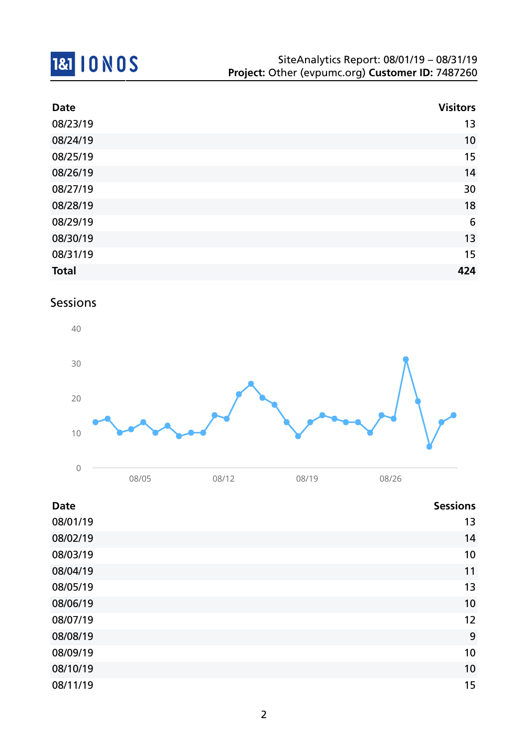

| <b>Date</b>  | <b>Visitors</b> |
|--------------|-----------------|
| 08/23/19     | 13              |
| 08/24/19     | 10              |
| 08/25/19     | 15              |
| 08/26/19     | 14              |
| 08/27/19     | 30              |
| 08/28/19     | 18              |
| 08/29/19     | $6\phantom{1}6$ |
| 08/30/19     | 13              |
| 08/31/19     | 15              |
| <b>Total</b> | 424             |

### Sessions



| <b>Date</b> | <b>Sessions</b> |
|-------------|-----------------|
| 08/01/19    | 13              |
| 08/02/19    | 14              |
| 08/03/19    | 10              |
| 08/04/19    | 11              |
| 08/05/19    | 13              |
| 08/06/19    | 10              |
| 08/07/19    | 12              |
| 08/08/19    | 9               |
| 08/09/19    | 10              |
| 08/10/19    | 10              |
| 08/11/19    | 15              |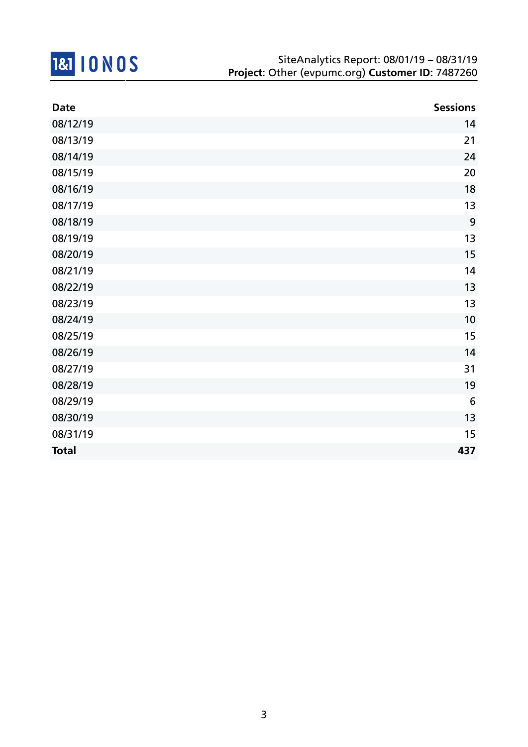

| <b>Date</b>  | <b>Sessions</b> |
|--------------|-----------------|
| 08/12/19     | 14              |
| 08/13/19     | 21              |
| 08/14/19     | 24              |
| 08/15/19     | 20              |
| 08/16/19     | 18              |
| 08/17/19     | 13              |
| 08/18/19     | 9               |
| 08/19/19     | 13              |
| 08/20/19     | 15              |
| 08/21/19     | 14              |
| 08/22/19     | 13              |
| 08/23/19     | 13              |
| 08/24/19     | 10              |
| 08/25/19     | 15              |
| 08/26/19     | 14              |
| 08/27/19     | 31              |
| 08/28/19     | 19              |
| 08/29/19     | 6               |
| 08/30/19     | 13              |
| 08/31/19     | 15              |
| <b>Total</b> | 437             |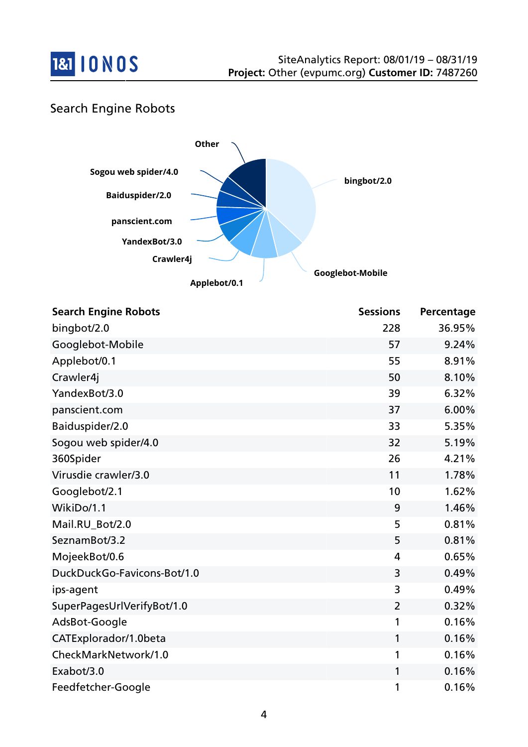

## Search Engine Robots



| <b>Search Engine Robots</b> | <b>Sessions</b> | Percentage |
|-----------------------------|-----------------|------------|
| bingbot/2.0                 | 228             | 36.95%     |
| Googlebot-Mobile            | 57              | 9.24%      |
| Applebot/0.1                | 55              | 8.91%      |
| Crawler4j                   | 50              | 8.10%      |
| YandexBot/3.0               | 39              | 6.32%      |
| panscient.com               | 37              | 6.00%      |
| Baiduspider/2.0             | 33              | 5.35%      |
| Sogou web spider/4.0        | 32              | 5.19%      |
| 360Spider                   | 26              | 4.21%      |
| Virusdie crawler/3.0        | 11              | 1.78%      |
| Googlebot/2.1               | 10              | 1.62%      |
| WikiDo/1.1                  | 9               | 1.46%      |
| Mail.RU Bot/2.0             | 5               | 0.81%      |
| SeznamBot/3.2               | 5               | 0.81%      |
| MojeekBot/0.6               | 4               | 0.65%      |
| DuckDuckGo-Favicons-Bot/1.0 | 3               | 0.49%      |
| ips-agent                   | 3               | 0.49%      |
| SuperPagesUrlVerifyBot/1.0  | $\overline{2}$  | 0.32%      |
| AdsBot-Google               | 1               | 0.16%      |
| CATExplorador/1.0beta       | 1               | 0.16%      |
| CheckMarkNetwork/1.0        | 1               | 0.16%      |
| Exabot/3.0                  | 1               | 0.16%      |
| Feedfetcher-Google          | 1               | 0.16%      |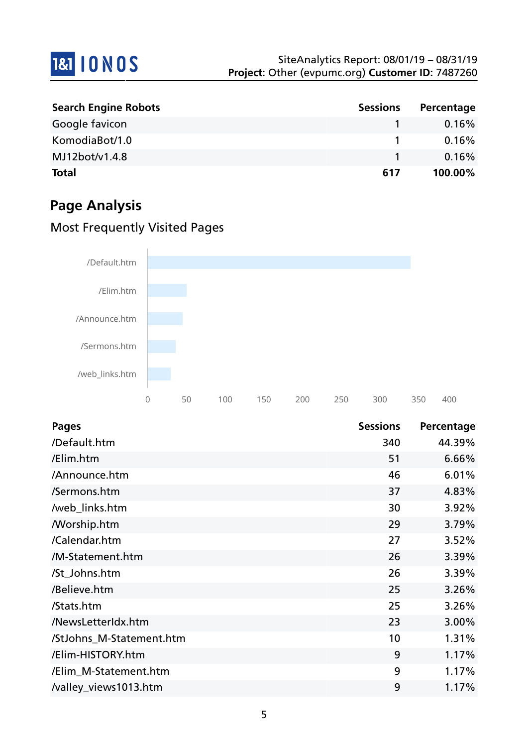

| <b>Search Engine Robots</b> | <b>Sessions</b> | Percentage |
|-----------------------------|-----------------|------------|
| Google favicon              |                 | 0.16%      |
| KomodiaBot/1.0              |                 | 0.16%      |
| MJ12bot/v1.4.8              |                 | 0.16%      |
| <b>Total</b>                | 617             | 100.00%    |

# **Page Analysis**

## Most Frequently Visited Pages



| <b>Pages</b>             | <b>Sessions</b> | Percentage |
|--------------------------|-----------------|------------|
| /Default.htm             | 340             | 44.39%     |
| /Elim.htm                | 51              | 6.66%      |
| /Announce.htm            | 46              | 6.01%      |
| /Sermons.htm             | 37              | 4.83%      |
| /web_links.htm           | 30              | 3.92%      |
| <b>Morship.htm</b>       | 29              | 3.79%      |
| /Calendar.htm            | 27              | 3.52%      |
| /M-Statement.htm         | 26              | 3.39%      |
| /St_Johns.htm            | 26              | 3.39%      |
| /Believe.htm             | 25              | 3.26%      |
| /Stats.htm               | 25              | 3.26%      |
| /NewsLetterIdx.htm       | 23              | 3.00%      |
| /StJohns_M-Statement.htm | 10              | 1.31%      |
| /Elim-HISTORY.htm        | 9               | 1.17%      |
| /Elim_M-Statement.htm    | 9               | 1.17%      |
| /valley_views1013.htm    | 9               | 1.17%      |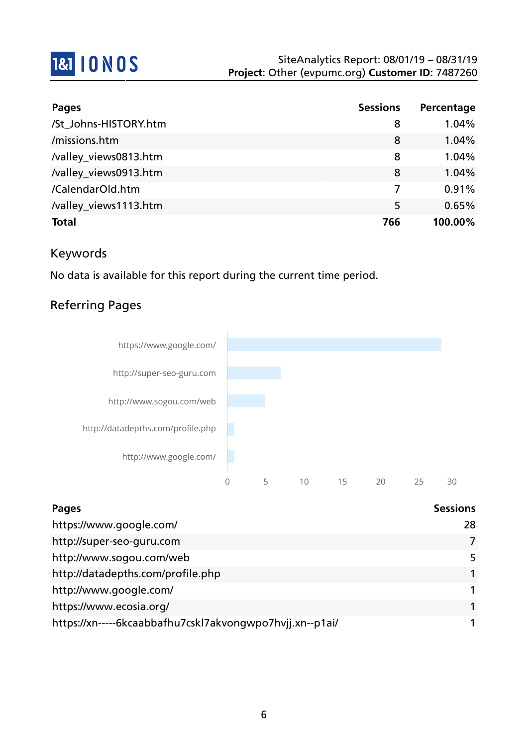

| <b>Pages</b>          | <b>Sessions</b> | Percentage |
|-----------------------|-----------------|------------|
| /St_Johns-HISTORY.htm | 8               | 1.04%      |
| /missions.htm         | 8               | 1.04%      |
| /valley_views0813.htm | 8               | 1.04%      |
| /valley_views0913.htm | 8               | 1.04%      |
| /CalendarOld.htm      | 7               | 0.91%      |
| /valley_views1113.htm | 5               | 0.65%      |
| <b>Total</b>          | 766             | 100.00%    |

## Keywords

No data is available for this report during the current time period.

### Referring Pages



| Pages                                                    | <b>Sessions</b> |
|----------------------------------------------------------|-----------------|
| https://www.google.com/                                  | 28              |
| http://super-seo-guru.com                                |                 |
| http://www.sogou.com/web                                 | 5               |
| http://datadepths.com/profile.php                        |                 |
| http://www.google.com/                                   |                 |
| https://www.ecosia.org/                                  |                 |
| https://xn-----6kcaabbafhu7cskl7akvongwpo7hvjj.xn--p1ai/ |                 |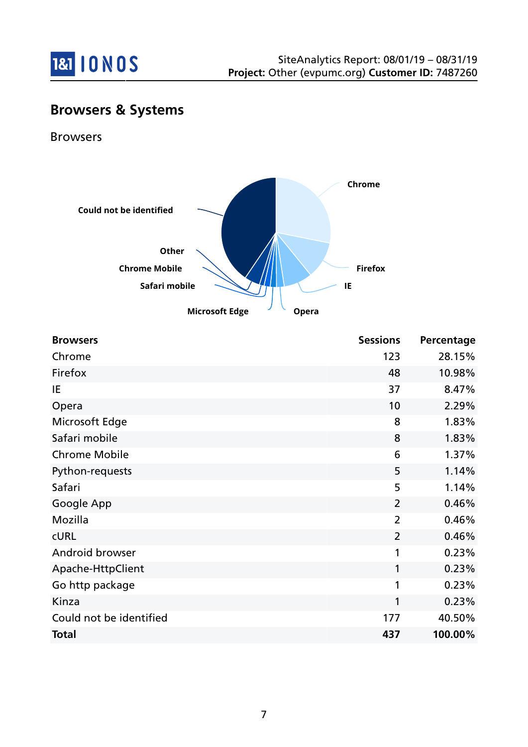

# **Browsers & Systems**

Browsers



| <b>Browsers</b>         | <b>Sessions</b> | Percentage |
|-------------------------|-----------------|------------|
| Chrome                  | 123             | 28.15%     |
| Firefox                 | 48              | 10.98%     |
| IE                      | 37              | 8.47%      |
| Opera                   | 10              | 2.29%      |
| Microsoft Edge          | 8               | 1.83%      |
| Safari mobile           | 8               | 1.83%      |
| <b>Chrome Mobile</b>    | 6               | 1.37%      |
| Python-requests         | 5               | 1.14%      |
| Safari                  | 5               | 1.14%      |
| Google App              | $\overline{2}$  | 0.46%      |
| Mozilla                 | $\overline{2}$  | 0.46%      |
| <b>CURL</b>             | $\overline{2}$  | 0.46%      |
| Android browser         | 1               | 0.23%      |
| Apache-HttpClient       | 1               | 0.23%      |
| Go http package         | 1               | 0.23%      |
| Kinza                   | 1               | 0.23%      |
| Could not be identified | 177             | 40.50%     |
| <b>Total</b>            | 437             | 100.00%    |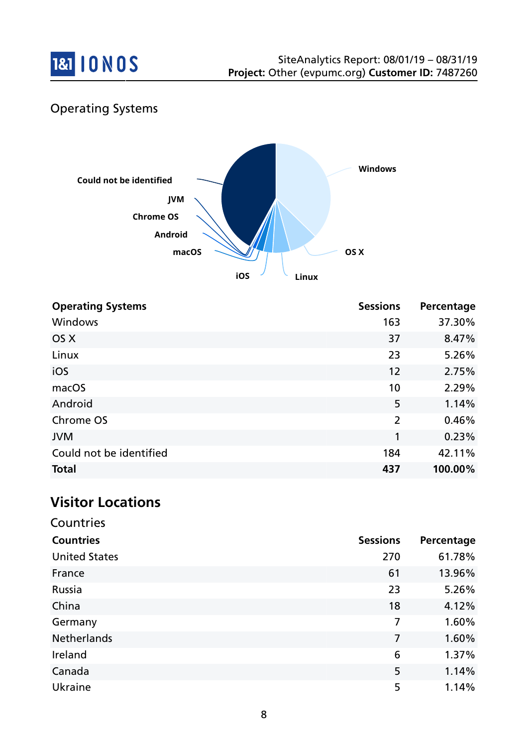

# Operating Systems



| <b>Operating Systems</b> | <b>Sessions</b> | Percentage |
|--------------------------|-----------------|------------|
| Windows                  | 163             | 37.30%     |
| OS X                     | 37              | 8.47%      |
| Linux                    | 23              | 5.26%      |
| iOS                      | 12              | 2.75%      |
| macOS                    | 10              | 2.29%      |
| Android                  | 5               | 1.14%      |
| Chrome OS                | $\overline{2}$  | 0.46%      |
| <b>JVM</b>               | 1               | 0.23%      |
| Could not be identified  | 184             | 42.11%     |
| <b>Total</b>             | 437             | 100.00%    |

## **Visitor Locations**

Countries

| CUUITUTU             |                 |            |
|----------------------|-----------------|------------|
| <b>Countries</b>     | <b>Sessions</b> | Percentage |
| <b>United States</b> | 270             | 61.78%     |
| France               | 61              | 13.96%     |
| Russia               | 23              | 5.26%      |
| China                | 18              | 4.12%      |
| Germany              | 7               | 1.60%      |
| Netherlands          | 7               | 1.60%      |
| Ireland              | 6               | 1.37%      |
| Canada               | 5               | 1.14%      |
| <b>Ukraine</b>       | 5               | 1.14%      |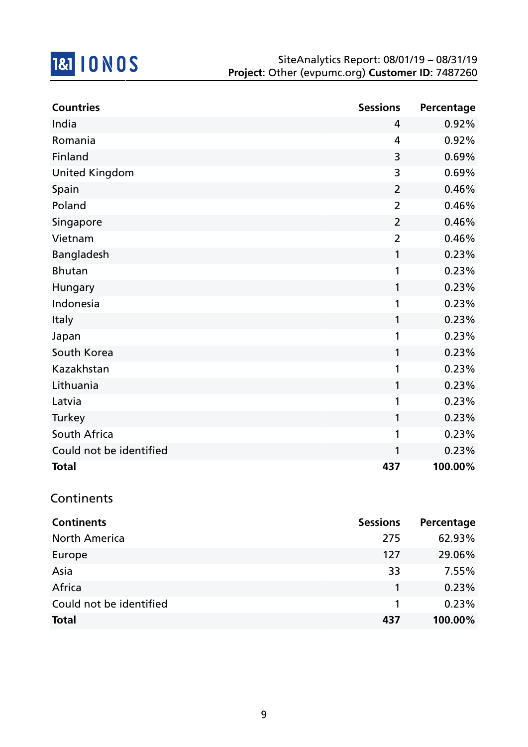

| <b>Countries</b>        | <b>Sessions</b> | Percentage |
|-------------------------|-----------------|------------|
| India                   | 4               | 0.92%      |
| Romania                 | 4               | 0.92%      |
| Finland                 | 3               | 0.69%      |
| <b>United Kingdom</b>   | 3               | 0.69%      |
| Spain                   | 2               | 0.46%      |
| Poland                  | $\overline{2}$  | 0.46%      |
| Singapore               | $\overline{2}$  | 0.46%      |
| Vietnam                 | $\overline{2}$  | 0.46%      |
| Bangladesh              | 1               | 0.23%      |
| <b>Bhutan</b>           | 1               | 0.23%      |
| Hungary                 | 1               | 0.23%      |
| Indonesia               | 1               | 0.23%      |
| Italy                   | 1               | 0.23%      |
| Japan                   | 1               | 0.23%      |
| South Korea             | 1               | 0.23%      |
| Kazakhstan              | 1               | 0.23%      |
| Lithuania               | 1               | 0.23%      |
| Latvia                  | 1               | 0.23%      |
| Turkey                  | 1               | 0.23%      |
| South Africa            | 1               | 0.23%      |
| Could not be identified | 1               | 0.23%      |
| <b>Total</b>            | 437             | 100.00%    |

### Continents

| <b>Continents</b>       | <b>Sessions</b> | Percentage |
|-------------------------|-----------------|------------|
| <b>North America</b>    | 275             | 62.93%     |
| Europe                  | 127             | 29.06%     |
| Asia                    | 33              | 7.55%      |
| Africa                  |                 | 0.23%      |
| Could not be identified |                 | 0.23%      |
| <b>Total</b>            | 437             | 100.00%    |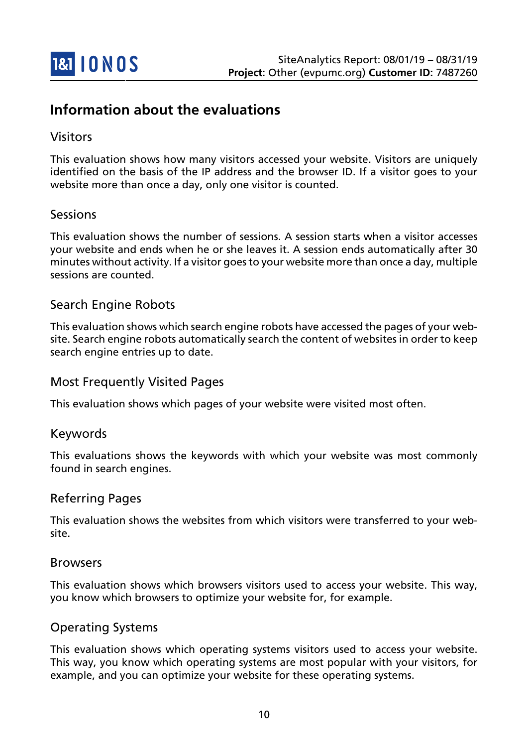

# **Information about the evaluations**

#### Visitors

This evaluation shows how many visitors accessed your website. Visitors are uniquely identified on the basis of the IP address and the browser ID. If a visitor goes to your website more than once a day, only one visitor is counted.

#### Sessions

This evaluation shows the number of sessions. A session starts when a visitor accesses your website and ends when he or she leaves it. A session ends automatically after 30 minutes without activity. If a visitor goes to your website more than once a day, multiple sessions are counted.

#### Search Engine Robots

This evaluation shows which search engine robots have accessed the pages of your website. Search engine robots automatically search the content of websites in order to keep search engine entries up to date.

#### Most Frequently Visited Pages

This evaluation shows which pages of your website were visited most often.

#### Keywords

This evaluations shows the keywords with which your website was most commonly found in search engines.

#### Referring Pages

This evaluation shows the websites from which visitors were transferred to your website.

#### Browsers

This evaluation shows which browsers visitors used to access your website. This way, you know which browsers to optimize your website for, for example.

#### Operating Systems

This evaluation shows which operating systems visitors used to access your website. This way, you know which operating systems are most popular with your visitors, for example, and you can optimize your website for these operating systems.